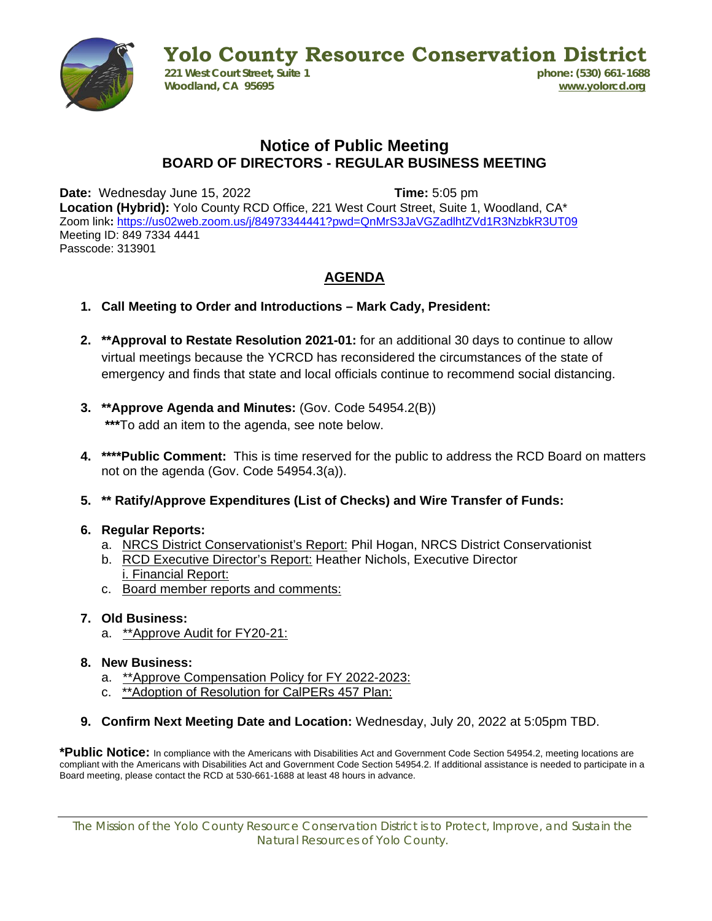

**Yolo County Resource Conservation District**<br>221 West Court Street. Suite 1<br>**Dhone:** (530) 661-1688 **221 West Court Street, Suite 1 Woodland, CA 95695 [www.yolorcd.org](http://www.yolorcd.org/)**

## **Notice of Public Meeting BOARD OF DIRECTORS - REGULAR BUSINESS MEETING**

**Date:** Wednesday June 15, 2022 **Time:** 5:05 pm

**Location (Hybrid):** Yolo County RCD Office, 221 West Court Street, Suite 1, Woodland, CA\* Zoom link**:** <https://us02web.zoom.us/j/84973344441?pwd=QnMrS3JaVGZadlhtZVd1R3NzbkR3UT09> Meeting ID: 849 7334 4441 Passcode: 313901

## **AGENDA**

- **1. Call Meeting to Order and Introductions – Mark Cady, President:**
- **2. \*\*Approval to Restate Resolution 2021-01:** for an additional 30 days to continue to allow virtual meetings because the YCRCD has reconsidered the circumstances of the state of emergency and finds that state and local officials continue to recommend social distancing.
- **3. \*\*Approve Agenda and Minutes:** (Gov. Code 54954.2(B)) **\*\*\***To add an item to the agenda, see note below.
- **4. \*\*\*\*Public Comment:** This is time reserved for the public to address the RCD Board on matters not on the agenda (Gov. Code 54954.3(a)).
- **5. \*\* Ratify/Approve Expenditures (List of Checks) and Wire Transfer of Funds:**

## **6. Regular Reports:**

- a. NRCS District Conservationist's Report: Phil Hogan, NRCS District Conservationist
- b. RCD Executive Director's Report: Heather Nichols, Executive Director i. Financial Report:
- c. Board member reports and comments:
- **7. Old Business:**
	- a. \*\*Approve Audit for FY20-21:
- **8. New Business:**
	- a. \*\*Approve Compensation Policy for FY 2022-2023:
	- c. \*\*Adoption of Resolution for CalPERs 457 Plan:
- **9. Confirm Next Meeting Date and Location:** Wednesday, July 20, 2022 at 5:05pm TBD.

**\*Public Notice:** In compliance with the Americans with Disabilities Act and Government Code Section 54954.2, meeting locations are compliant with the Americans with Disabilities Act and Government Code Section 54954.2. If additional assistance is needed to participate in a Board meeting, please contact the RCD at 530-661-1688 at least 48 hours in advance.